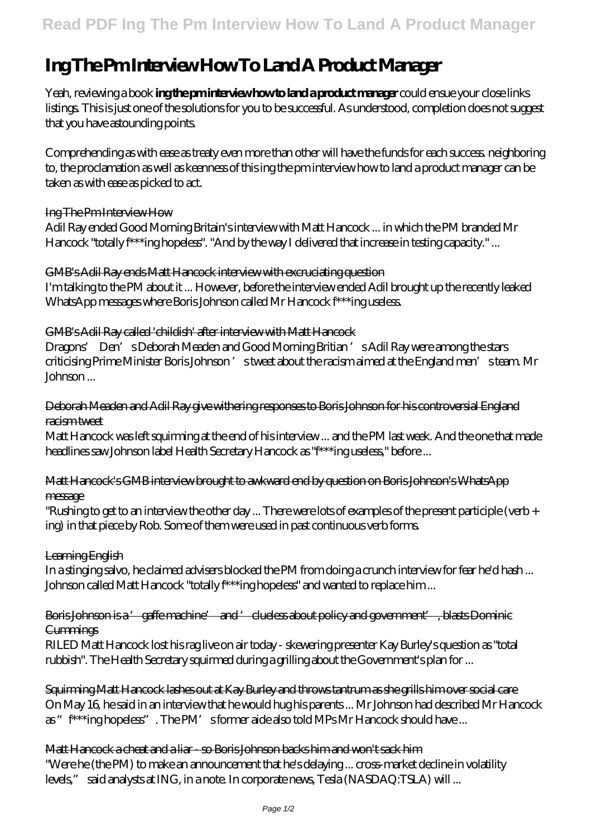# **Ing The Pm Interview How To Land A Product Manager**

Yeah, reviewing a book **ing the pm interview how to land a product manager** could ensue your close links listings. This is just one of the solutions for you to be successful. As understood, completion does not suggest that you have astounding points.

Comprehending as with ease as treaty even more than other will have the funds for each success. neighboring to, the proclamation as well as keenness of this ing the pm interview how to land a product manager can be taken as with ease as picked to act.

## Ing The Pm Interview How

Adil Ray ended Good Morning Britain's interview with Matt Hancock ... in which the PM branded Mr Hancock "totally f\*\*\*ing hopeless". "And by the way I delivered that increase in testing capacity." ...

## GMB's Adil Ray ends Matt Hancock interview with excruciating question

I'm talking to the PM about it ... However, before the interview ended Adil brought up the recently leaked WhatsApp messages where Boris Johnson called Mr Hancock f\*\*\*ing useless.

## GMB's Adil Ray called 'childish' after interview with Matt Hancock

Dragons' Den's Deborah Meaden and Good Morning Britian 's Adil Ray were among the stars criticising Prime Minister Boris Johnson 's tweet about the racism aimed at the England men's team. Mr Johnson ...

## Deborah Meaden and Adil Ray give withering responses to Boris Johnson for his controversial England racism tweet

Matt Hancock was left squirming at the end of his interview ... and the PM last week. And the one that made headlines saw Johnson label Health Secretary Hancock as "f\*\*\*ing useless," before ...

# Matt Hancock's GMB interview brought to awkward end by question on Boris Johnson's WhatsApp message

"Rushing to get to an interview the other day ... There were lots of examples of the present participle (verb + ing) in that piece by Rob. Some of them were used in past continuous verb forms.

#### Learning English

In a stinging salvo, he claimed advisers blocked the PM from doing a crunch interview for fear he'd hash ... Johnson called Matt Hancock "totally f<sup>\*\*\*</sup>ing hopeless" and wanted to replace him ...

## Boris Johnson is a 'gaffe machine' and 'clueless about policy and government', blasts Dominic **Cummings**

RILED Matt Hancock lost his rag live on air today - skewering presenter Kay Burley's question as "total rubbish". The Health Secretary squirmed during a grilling about the Government's plan for ...

Squirming Matt Hancock lashes out at Kay Burley and throws tantrum as she grills him over social care On May 16, he said in an interview that he would hug his parents ... Mr Johnson had described Mr Hancock as "f<sup>\*\*\*</sup>ing hopeless". The PM's former aide also told MPs Mr Hancock should have ...

#### Matt Hancock a cheat and a liar - so Boris Johnson backs him and won't sack him

"Were he (the PM) to make an announcement that he's delaying ... cross-market decline in volatility levels," said analysts at ING, in a note. In corporate news, Tesla (NASDAQ:TSLA) will ...